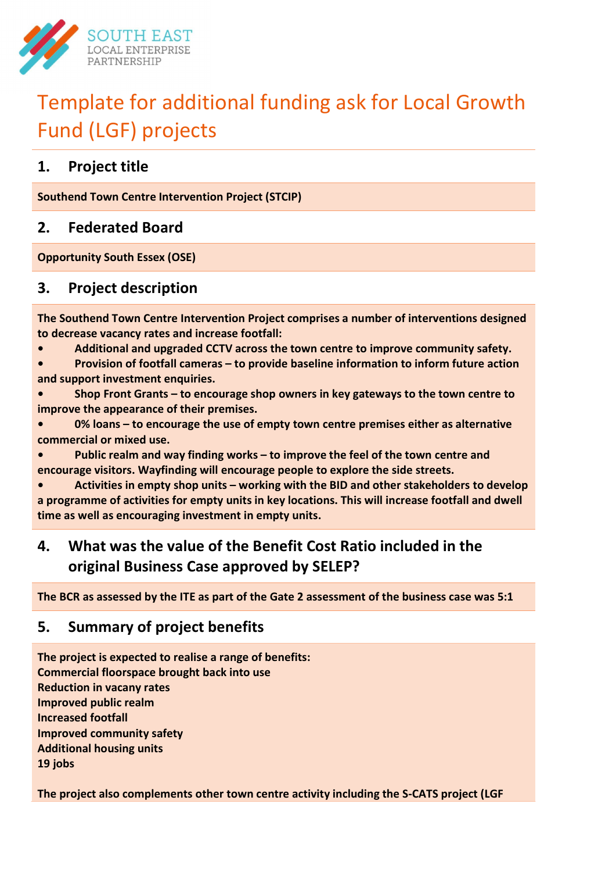

# Template for additional funding ask for Local Growth Fund (LGF) projects

### 1. Project title

Southend Town Centre Intervention Project (STCIP)

#### 2. Federated Board

Opportunity South Essex (OSE)

#### 3. Project description

The Southend Town Centre Intervention Project comprises a number of interventions designed to decrease vacancy rates and increase footfall:

- Additional and upgraded CCTV across the town centre to improve community safety.
- Provision of footfall cameras to provide baseline information to inform future action and support investment enquiries.
- Shop Front Grants to encourage shop owners in key gateways to the town centre to improve the appearance of their premises.
- 0% loans to encourage the use of empty town centre premises either as alternative commercial or mixed use.
- Public realm and way finding works to improve the feel of the town centre and encourage visitors. Wayfinding will encourage people to explore the side streets.
- Activities in empty shop units working with the BID and other stakeholders to develop a programme of activities for empty units in key locations. This will increase footfall and dwell time as well as encouraging investment in empty units.

# 4. What was the value of the Benefit Cost Ratio included in the original Business Case approved by SELEP?

The BCR as assessed by the ITE as part of the Gate 2 assessment of the business case was 5:1

## 5. Summary of project benefits

The project is expected to realise a range of benefits: Commercial floorspace brought back into use Reduction in vacany rates Improved public realm Increased footfall Improved community safety Additional housing units 19 jobs

The project also complements other town centre activity including the S-CATS project (LGF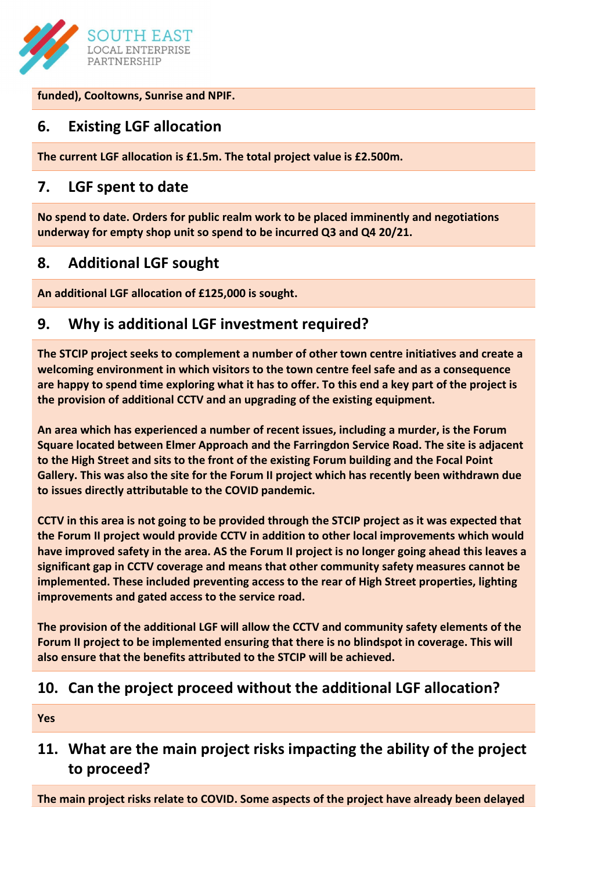

funded), Cooltowns, Sunrise and NPIF.

#### 6. Existing LGF allocation

The current LGF allocation is £1.5m. The total project value is £2.500m.

#### 7. LGF spent to date

No spend to date. Orders for public realm work to be placed imminently and negotiations underway for empty shop unit so spend to be incurred Q3 and Q4 20/21.

#### 8. Additional LGF sought

An additional LGF allocation of £125,000 is sought.

#### 9. Why is additional LGF investment required?

The STCIP project seeks to complement a number of other town centre initiatives and create a welcoming environment in which visitors to the town centre feel safe and as a consequence are happy to spend time exploring what it has to offer. To this end a key part of the project is the provision of additional CCTV and an upgrading of the existing equipment.

An area which has experienced a number of recent issues, including a murder, is the Forum Square located between Elmer Approach and the Farringdon Service Road. The site is adjacent to the High Street and sits to the front of the existing Forum building and the Focal Point Gallery. This was also the site for the Forum II project which has recently been withdrawn due to issues directly attributable to the COVID pandemic.

CCTV in this area is not going to be provided through the STCIP project as it was expected that the Forum II project would provide CCTV in addition to other local improvements which would have improved safety in the area. AS the Forum II project is no longer going ahead this leaves a significant gap in CCTV coverage and means that other community safety measures cannot be implemented. These included preventing access to the rear of High Street properties, lighting improvements and gated access to the service road.

The provision of the additional LGF will allow the CCTV and community safety elements of the Forum II project to be implemented ensuring that there is no blindspot in coverage. This will also ensure that the benefits attributed to the STCIP will be achieved.

#### 10. Can the project proceed without the additional LGF allocation?

Yes

## 11. What are the main project risks impacting the ability of the project to proceed?

The main project risks relate to COVID. Some aspects of the project have already been delayed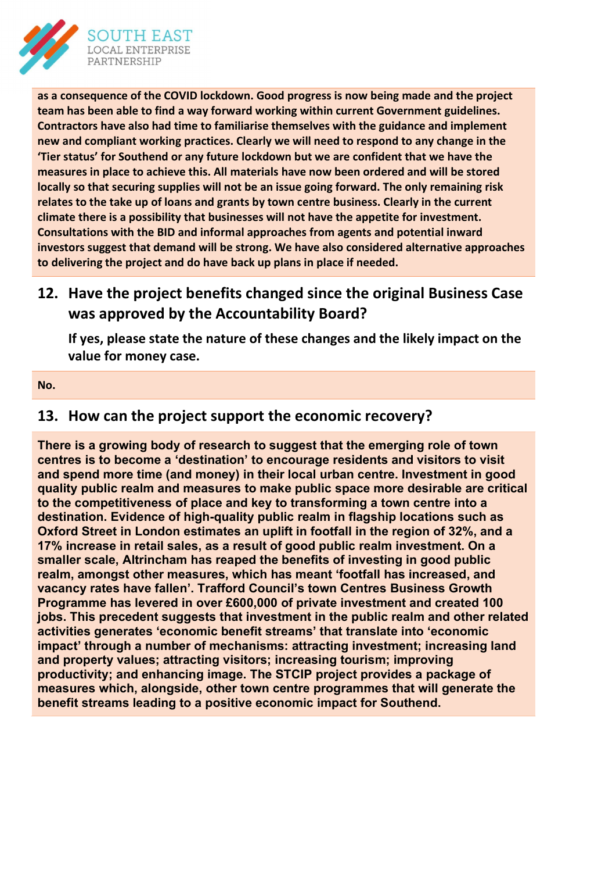

as a consequence of the COVID lockdown. Good progress is now being made and the project team has been able to find a way forward working within current Government guidelines. Contractors have also had time to familiarise themselves with the guidance and implement new and compliant working practices. Clearly we will need to respond to any change in the 'Tier status' for Southend or any future lockdown but we are confident that we have the measures in place to achieve this. All materials have now been ordered and will be stored locally so that securing supplies will not be an issue going forward. The only remaining risk relates to the take up of loans and grants by town centre business. Clearly in the current climate there is a possibility that businesses will not have the appetite for investment. Consultations with the BID and informal approaches from agents and potential inward investors suggest that demand will be strong. We have also considered alternative approaches to delivering the project and do have back up plans in place if needed.

# 12. Have the project benefits changed since the original Business Case was approved by the Accountability Board?

If yes, please state the nature of these changes and the likely impact on the value for money case.

No.

#### 13. How can the project support the economic recovery?

There is a growing body of research to suggest that the emerging role of town centres is to become a 'destination' to encourage residents and visitors to visit and spend more time (and money) in their local urban centre. Investment in good quality public realm and measures to make public space more desirable are critical to the competitiveness of place and key to transforming a town centre into a destination. Evidence of high-quality public realm in flagship locations such as Oxford Street in London estimates an uplift in footfall in the region of 32%, and a 17% increase in retail sales, as a result of good public realm investment. On a smaller scale, Altrincham has reaped the benefits of investing in good public realm, amongst other measures, which has meant 'footfall has increased, and vacancy rates have fallen'. Trafford Council's town Centres Business Growth Programme has levered in over £600,000 of private investment and created 100 jobs. This precedent suggests that investment in the public realm and other related activities generates 'economic benefit streams' that translate into 'economic impact' through a number of mechanisms: attracting investment; increasing land and property values; attracting visitors; increasing tourism; improving productivity; and enhancing image. The STCIP project provides a package of measures which, alongside, other town centre programmes that will generate the benefit streams leading to a positive economic impact for Southend.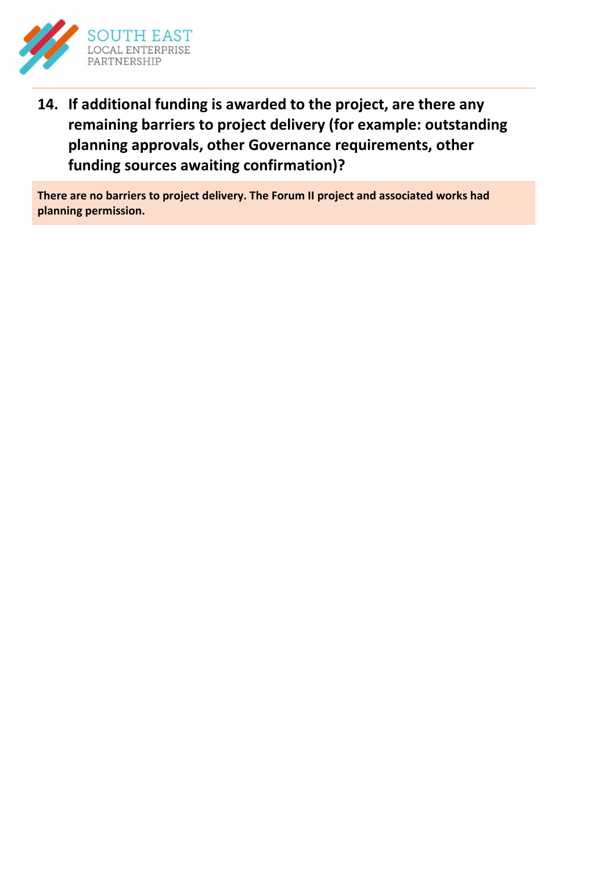

# 14. If additional funding is awarded to the project, are there any remaining barriers to project delivery (for example: outstanding planning approvals, other Governance requirements, other funding sources awaiting confirmation)?

There are no barriers to project delivery. The Forum II project and associated works had planning permission.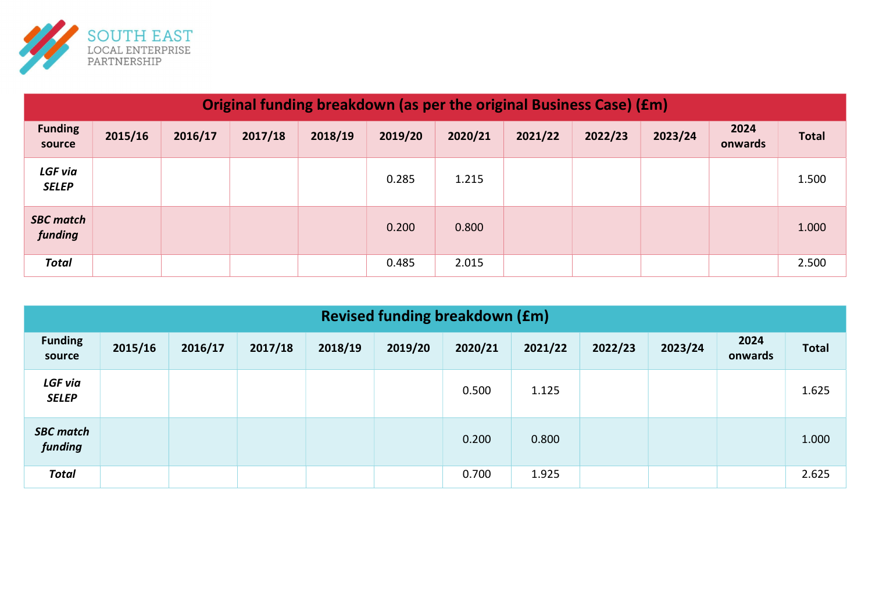

| Original funding breakdown (as per the original Business Case) (£m) |         |         |         |         |         |         |         |         |         |                 |              |
|---------------------------------------------------------------------|---------|---------|---------|---------|---------|---------|---------|---------|---------|-----------------|--------------|
| <b>Funding</b><br>source                                            | 2015/16 | 2016/17 | 2017/18 | 2018/19 | 2019/20 | 2020/21 | 2021/22 | 2022/23 | 2023/24 | 2024<br>onwards | <b>Total</b> |
| LGF via<br><b>SELEP</b>                                             |         |         |         |         | 0.285   | 1.215   |         |         |         |                 | 1.500        |
| <b>SBC</b> match<br>funding                                         |         |         |         |         | 0.200   | 0.800   |         |         |         |                 | 1.000        |
| <b>Total</b>                                                        |         |         |         |         | 0.485   | 2.015   |         |         |         |                 | 2.500        |

| <b>Revised funding breakdown (£m)</b> |         |         |         |         |         |         |         |         |         |                 |              |
|---------------------------------------|---------|---------|---------|---------|---------|---------|---------|---------|---------|-----------------|--------------|
| <b>Funding</b><br>source              | 2015/16 | 2016/17 | 2017/18 | 2018/19 | 2019/20 | 2020/21 | 2021/22 | 2022/23 | 2023/24 | 2024<br>onwards | <b>Total</b> |
| LGF via<br><b>SELEP</b>               |         |         |         |         |         | 0.500   | 1.125   |         |         |                 | 1.625        |
| <b>SBC</b> match<br>funding           |         |         |         |         |         | 0.200   | 0.800   |         |         |                 | 1.000        |
| <b>Total</b>                          |         |         |         |         |         | 0.700   | 1.925   |         |         |                 | 2.625        |